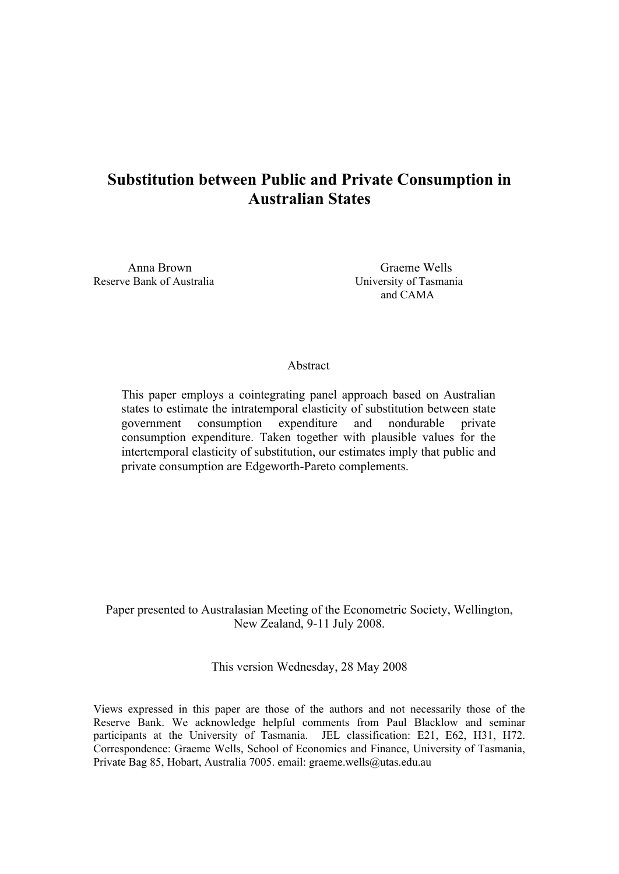# **Substitution between Public and Private Consumption in Australian States**

Reserve Bank of Australia University of Tasmania

 Anna Brown Graeme Wells and CAMA

# Abstract

This paper employs a cointegrating panel approach based on Australian states to estimate the intratemporal elasticity of substitution between state government consumption expenditure and nondurable private consumption expenditure. Taken together with plausible values for the intertemporal elasticity of substitution, our estimates imply that public and private consumption are Edgeworth-Pareto complements.

Paper presented to Australasian Meeting of the Econometric Society, Wellington, New Zealand, 9-11 July 2008.

This version Wednesday, 28 May 2008

Views expressed in this paper are those of the authors and not necessarily those of the Reserve Bank. We acknowledge helpful comments from Paul Blacklow and seminar participants at the University of Tasmania. JEL classification: E21, E62, H31, H72. Correspondence: Graeme Wells, School of Economics and Finance, University of Tasmania, Private Bag 85, Hobart, Australia 7005. email: graeme.wells@utas.edu.au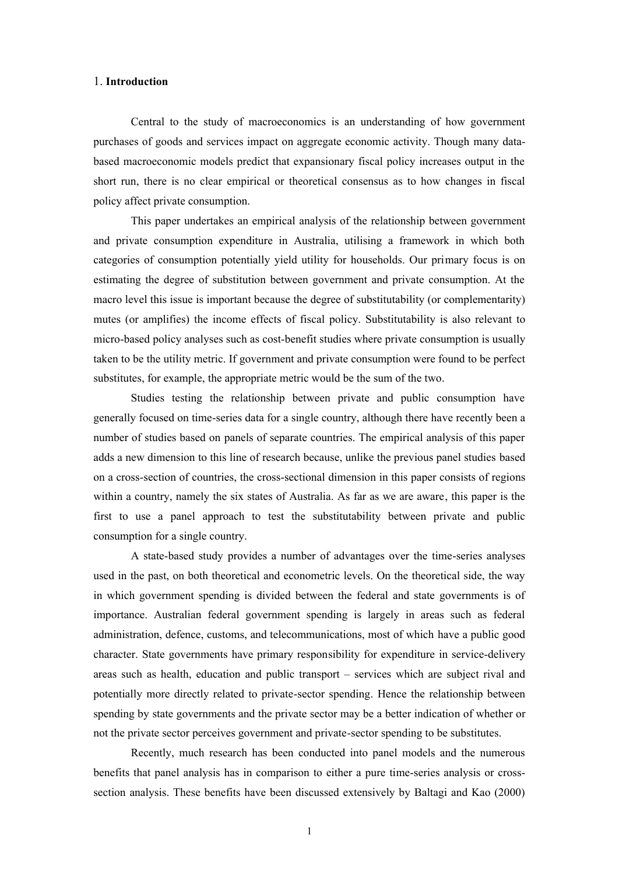## 1. **Introduction**

 Central to the study of macroeconomics is an understanding of how government purchases of goods and services impact on aggregate economic activity. Though many databased macroeconomic models predict that expansionary fiscal policy increases output in the short run, there is no clear empirical or theoretical consensus as to how changes in fiscal policy affect private consumption.

 This paper undertakes an empirical analysis of the relationship between government and private consumption expenditure in Australia, utilising a framework in which both categories of consumption potentially yield utility for households. Our primary focus is on estimating the degree of substitution between government and private consumption. At the macro level this issue is important because the degree of substitutability (or complementarity) mutes (or amplifies) the income effects of fiscal policy. Substitutability is also relevant to micro-based policy analyses such as cost-benefit studies where private consumption is usually taken to be the utility metric. If government and private consumption were found to be perfect substitutes, for example, the appropriate metric would be the sum of the two.

 Studies testing the relationship between private and public consumption have generally focused on time-series data for a single country, although there have recently been a number of studies based on panels of separate countries. The empirical analysis of this paper adds a new dimension to this line of research because, unlike the previous panel studies based on a cross-section of countries, the cross-sectional dimension in this paper consists of regions within a country, namely the six states of Australia. As far as we are aware, this paper is the first to use a panel approach to test the substitutability between private and public consumption for a single country.

 A state-based study provides a number of advantages over the time-series analyses used in the past, on both theoretical and econometric levels. On the theoretical side, the way in which government spending is divided between the federal and state governments is of importance. Australian federal government spending is largely in areas such as federal administration, defence, customs, and telecommunications, most of which have a public good character. State governments have primary responsibility for expenditure in service-delivery areas such as health, education and public transport – services which are subject rival and potentially more directly related to private-sector spending. Hence the relationship between spending by state governments and the private sector may be a better indication of whether or not the private sector perceives government and private-sector spending to be substitutes.

 Recently, much research has been conducted into panel models and the numerous benefits that panel analysis has in comparison to either a pure time-series analysis or crosssection analysis. These benefits have been discussed extensively by Baltagi and Kao (2000)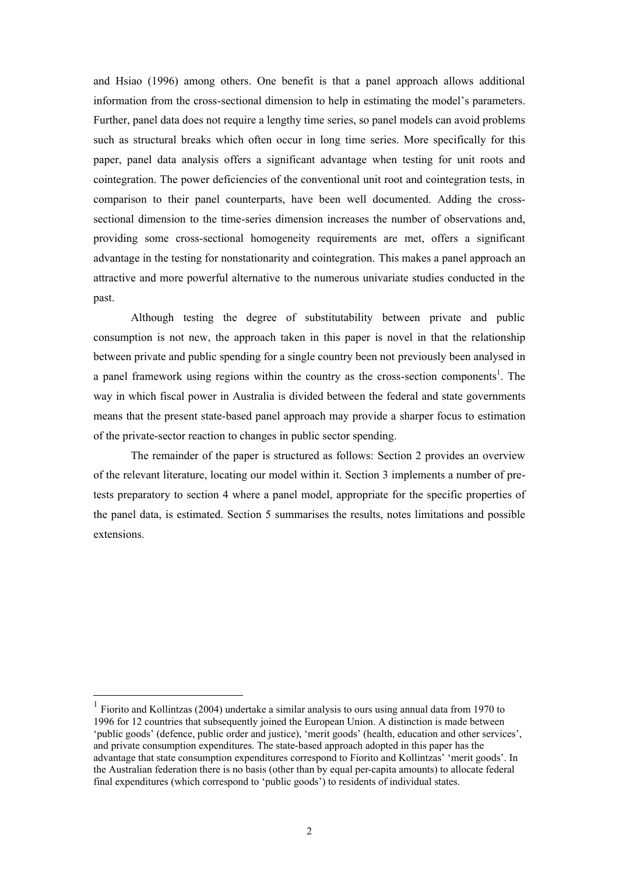and Hsiao (1996) among others. One benefit is that a panel approach allows additional information from the cross-sectional dimension to help in estimating the model's parameters. Further, panel data does not require a lengthy time series, so panel models can avoid problems such as structural breaks which often occur in long time series. More specifically for this paper, panel data analysis offers a significant advantage when testing for unit roots and cointegration. The power deficiencies of the conventional unit root and cointegration tests, in comparison to their panel counterparts, have been well documented. Adding the crosssectional dimension to the time-series dimension increases the number of observations and, providing some cross-sectional homogeneity requirements are met, offers a significant advantage in the testing for nonstationarity and cointegration. This makes a panel approach an attractive and more powerful alternative to the numerous univariate studies conducted in the past.

 Although testing the degree of substitutability between private and public consumption is not new, the approach taken in this paper is novel in that the relationship between private and public spending for a single country been not previously been analysed in a panel framework using regions within the country as the cross-section components<sup>1</sup>. The way in which fiscal power in Australia is divided between the federal and state governments means that the present state-based panel approach may provide a sharper focus to estimation of the private-sector reaction to changes in public sector spending.

 The remainder of the paper is structured as follows: Section 2 provides an overview of the relevant literature, locating our model within it. Section 3 implements a number of pretests preparatory to section 4 where a panel model, appropriate for the specific properties of the panel data, is estimated. Section 5 summarises the results, notes limitations and possible extensions.

 $\overline{a}$ 

<sup>1</sup> Fiorito and Kollintzas (2004) undertake a similar analysis to ours using annual data from 1970 to 1996 for 12 countries that subsequently joined the European Union. A distinction is made between 'public goods' (defence, public order and justice), 'merit goods' (health, education and other services', and private consumption expenditures. The state-based approach adopted in this paper has the advantage that state consumption expenditures correspond to Fiorito and Kollintzas' 'merit goods'. In the Australian federation there is no basis (other than by equal per-capita amounts) to allocate federal final expenditures (which correspond to 'public goods') to residents of individual states.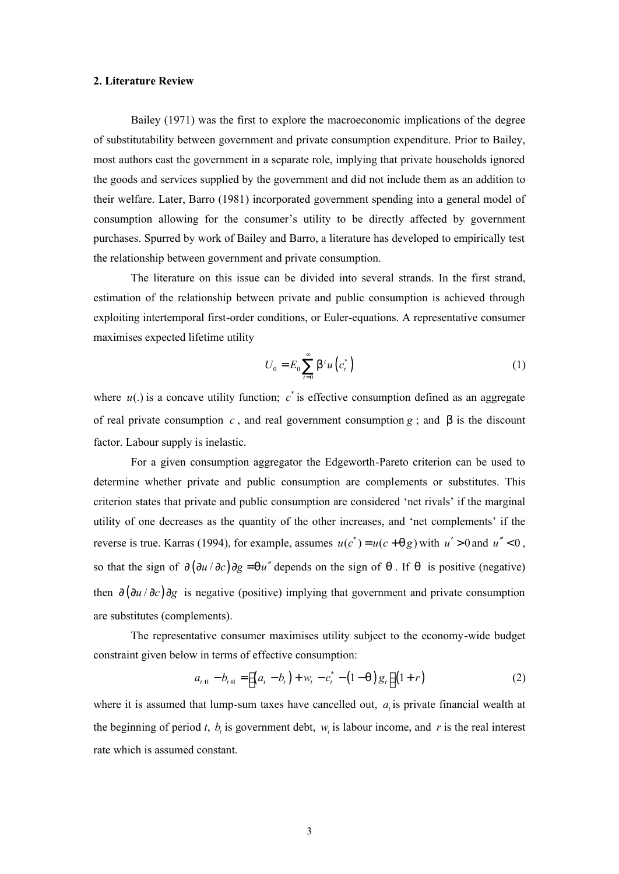# **2. Literature Review**

 Bailey (1971) was the first to explore the macroeconomic implications of the degree of substitutability between government and private consumption expenditure. Prior to Bailey, most authors cast the government in a separate role, implying that private households ignored the goods and services supplied by the government and did not include them as an addition to their welfare. Later, Barro (1981) incorporated government spending into a general model of consumption allowing for the consumer's utility to be directly affected by government purchases. Spurred by work of Bailey and Barro, a literature has developed to empirically test the relationship between government and private consumption.

 The literature on this issue can be divided into several strands. In the first strand, estimation of the relationship between private and public consumption is achieved through exploiting intertemporal first-order conditions, or Euler-equations. A representative consumer maximises expected lifetime utility

$$
U_0 = E_0 \sum_{t=0}^{\infty} \mathsf{b}^t u\left(c_t^*\right) \tag{1}
$$

where  $u(.)$  is a concave utility function;  $c^*$  is effective consumption defined as an aggregate of real private consumption *c* , and real government consumption *g* ; and *b* is the discount factor. Labour supply is inelastic.

 For a given consumption aggregator the Edgeworth-Pareto criterion can be used to determine whether private and public consumption are complements or substitutes. This criterion states that private and public consumption are considered 'net rivals' if the marginal utility of one decreases as the quantity of the other increases, and 'net complements' if the reverse is true. Karras (1994), for example, assumes  $u(c^*) = u(c + qg)$  with  $u' > 0$  and  $u'' < 0$ , so that the sign of  $\partial(\partial u/\partial c)\partial g = qu''$  depends on the sign of q. If q is positive (negative) then ∂ (∂*u* / ∂*c*) ∂*g* is negative (positive) implying that government and private consumption are substitutes (complements).

 The representative consumer maximises utility subject to the economy-wide budget constraint given below in terms of effective consumption:

$$
a_{t+1} - b_{t+1} = \left[ \left( a_t - b_t \right) + w_t - c_t^* - \left( 1 - q \right) g_t \right] \left( 1 + r \right) \tag{2}
$$

where it is assumed that lump-sum taxes have cancelled out,  $a_i$  is private financial wealth at the beginning of period *t*,  $b<sub>t</sub>$  is government debt,  $w<sub>t</sub>$  is labour income, and *r* is the real interest rate which is assumed constant.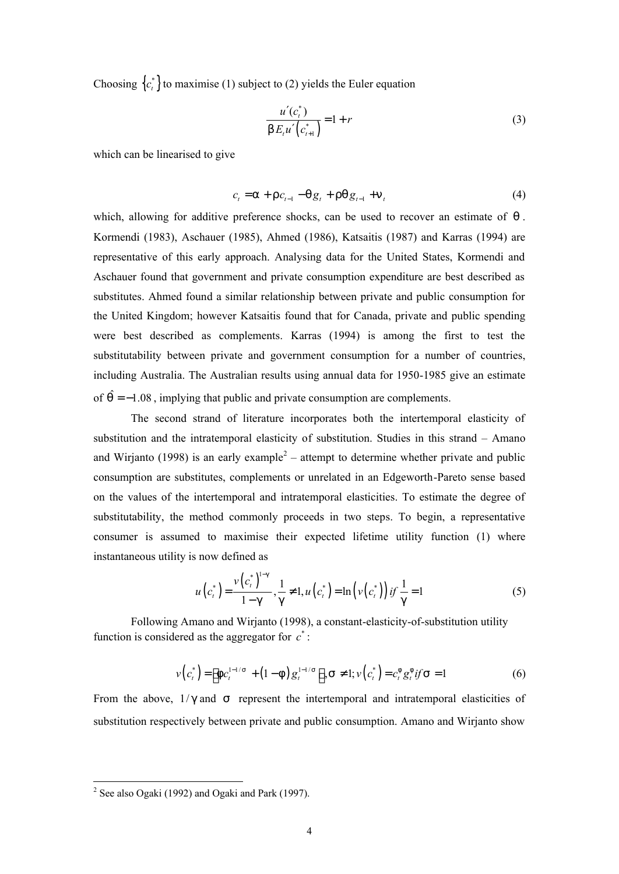Choosing  ${c_i^*}$  to maximise (1) subject to (2) yields the Euler equation

$$
\frac{u'(c_i^*)}{b E_t u'(c_{i+1}^*)} = 1 + r
$$
\n(3)

which can be linearised to give

$$
c_{t} = a + r c_{t-1} - q g_{t} + r q g_{t-1} + n_{t}
$$
\n(4)

which, allowing for additive preference shocks, can be used to recover an estimate of *q* . Kormendi (1983), Aschauer (1985), Ahmed (1986), Katsaitis (1987) and Karras (1994) are representative of this early approach. Analysing data for the United States, Kormendi and Aschauer found that government and private consumption expenditure are best described as substitutes. Ahmed found a similar relationship between private and public consumption for the United Kingdom; however Katsaitis found that for Canada, private and public spending were best described as complements. Karras (1994) is among the first to test the substitutability between private and government consumption for a number of countries, including Australia. The Australian results using annual data for 1950-1985 give an estimate of  $\hat{q} = -1.08$ , implying that public and private consumption are complements.

 The second strand of literature incorporates both the intertemporal elasticity of substitution and the intratemporal elasticity of substitution. Studies in this strand – Amano and Wirjanto (1998) is an early example<sup>2</sup> – attempt to determine whether private and public consumption are substitutes, complements or unrelated in an Edgeworth-Pareto sense based on the values of the intertemporal and intratemporal elasticities. To estimate the degree of substitutability, the method commonly proceeds in two steps. To begin, a representative consumer is assumed to maximise their expected lifetime utility function (1) where instantaneous utility is now defined as

$$
u(ci*) = \frac{v(ci*)1-g}{1-g}, \frac{1}{g} \neq 1, u(ci*) = \ln(v(ci*)) \text{ if } \frac{1}{g} = 1
$$
 (5)

Following Amano and Wirjanto (1998), a constant-elasticity-of-substitution utility function is considered as the aggregator for  $c^*$ :

$$
v(c_t^*) = \left[ f c_t^{1-1/s} + (1-f) g_t^{1-1/s} \right], S \neq 1; v(c_t^*) = c_t^{\{f\}} g_t^{\{f\}} f S = 1
$$
 (6)

From the above,  $1/g$  and *s* represent the intertemporal and intratemporal elasticities of substitution respectively between private and public consumption. Amano and Wirjanto show

<sup>&</sup>lt;sup>2</sup> See also Ogaki (1992) and Ogaki and Park (1997).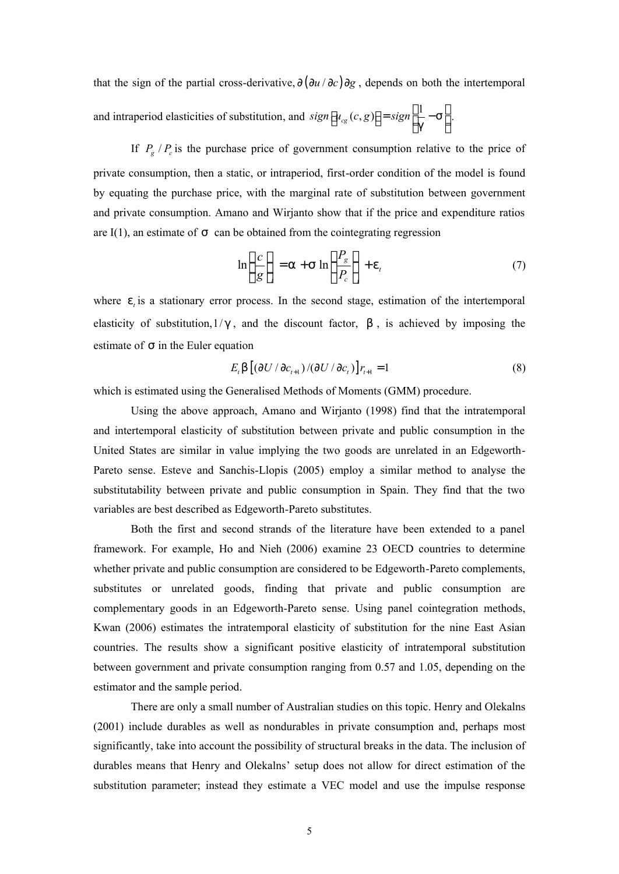that the sign of the partial cross-derivative, ∂ (∂*u* / ∂*c*) ∂*g* , depends on both the intertemporal and intraperiod elasticities of substitution, and  $sign[u_{cg}(c, g)] = sign\left[\frac{1}{a} - s\right]$ *g*  $[u_{cg}(c,g)] = sign \left[\frac{1}{g} - s\right]$ .

If  $P_g / P_c$  is the purchase price of government consumption relative to the price of private consumption, then a static, or intraperiod, first-order condition of the model is found by equating the purchase price, with the marginal rate of substitution between government and private consumption. Amano and Wirjanto show that if the price and expenditure ratios are I(1), an estimate of *s* can be obtained from the cointegrating regression

$$
\ln\left(\frac{c}{g}\right)_t = a + s \ln\left(\frac{P_g}{P_c}\right)_t + e_t \tag{7}
$$

where  $e_i$  is a stationary error process. In the second stage, estimation of the intertemporal elasticity of substitution, $1/g$ , and the discount factor, b, is achieved by imposing the estimate of *s* in the Euler equation

$$
E_t \mathsf{b} \left[ \left( \partial U / \partial c_{t+1} \right) / \left( \partial U / \partial c_t \right) \right] r_{t+1} = 1 \tag{8}
$$

which is estimated using the Generalised Methods of Moments (GMM) procedure.

 Using the above approach, Amano and Wirjanto (1998) find that the intratemporal and intertemporal elasticity of substitution between private and public consumption in the United States are similar in value implying the two goods are unrelated in an Edgeworth-Pareto sense. Esteve and Sanchis-Llopis (2005) employ a similar method to analyse the substitutability between private and public consumption in Spain. They find that the two variables are best described as Edgeworth-Pareto substitutes.

 Both the first and second strands of the literature have been extended to a panel framework. For example, Ho and Nieh (2006) examine 23 OECD countries to determine whether private and public consumption are considered to be Edgeworth-Pareto complements, substitutes or unrelated goods, finding that private and public consumption are complementary goods in an Edgeworth-Pareto sense. Using panel cointegration methods, Kwan (2006) estimates the intratemporal elasticity of substitution for the nine East Asian countries. The results show a significant positive elasticity of intratemporal substitution between government and private consumption ranging from 0.57 and 1.05, depending on the estimator and the sample period.

 There are only a small number of Australian studies on this topic. Henry and Olekalns (2001) include durables as well as nondurables in private consumption and, perhaps most significantly, take into account the possibility of structural breaks in the data. The inclusion of durables means that Henry and Olekalns' setup does not allow for direct estimation of the substitution parameter; instead they estimate a VEC model and use the impulse response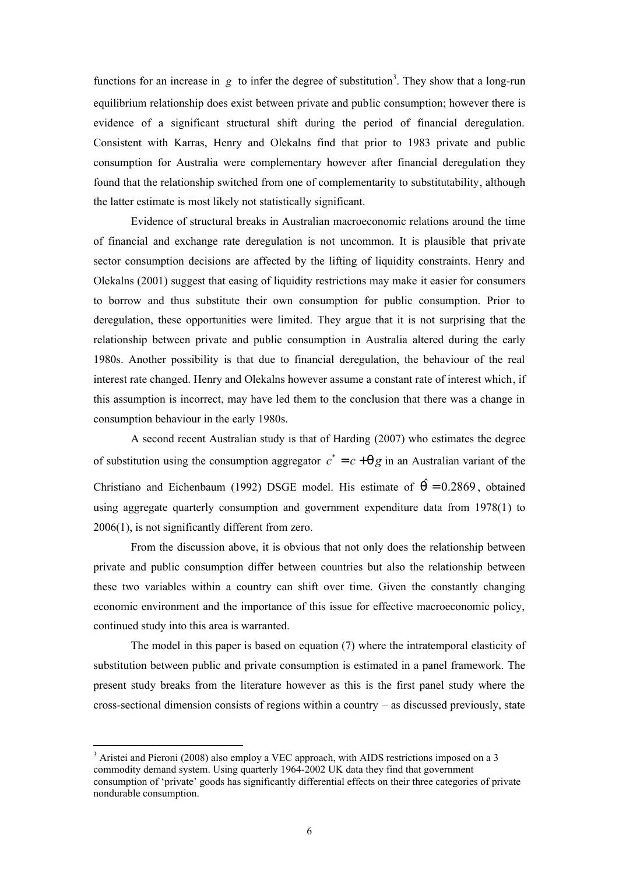functions for an increase in  $g$  to infer the degree of substitution<sup>3</sup>. They show that a long-run equilibrium relationship does exist between private and public consumption; however there is evidence of a significant structural shift during the period of financial deregulation. Consistent with Karras, Henry and Olekalns find that prior to 1983 private and public consumption for Australia were complementary however after financial deregulation they found that the relationship switched from one of complementarity to substitutability, although the latter estimate is most likely not statistically significant.

 Evidence of structural breaks in Australian macroeconomic relations around the time of financial and exchange rate deregulation is not uncommon. It is plausible that private sector consumption decisions are affected by the lifting of liquidity constraints. Henry and Olekalns (2001) suggest that easing of liquidity restrictions may make it easier for consumers to borrow and thus substitute their own consumption for public consumption. Prior to deregulation, these opportunities were limited. They argue that it is not surprising that the relationship between private and public consumption in Australia altered during the early 1980s. Another possibility is that due to financial deregulation, the behaviour of the real interest rate changed. Henry and Olekalns however assume a constant rate of interest which, if this assumption is incorrect, may have led them to the conclusion that there was a change in consumption behaviour in the early 1980s.

A second recent Australian study is that of Harding (2007) who estimates the degree of substitution using the consumption aggregator  $c^* = c + qg$  in an Australian variant of the Christiano and Eichenbaum (1992) DSGE model. His estimate of  $\hat{q} = 0.2869$ , obtained using aggregate quarterly consumption and government expenditure data from 1978(1) to 2006(1), is not significantly different from zero.

From the discussion above, it is obvious that not only does the relationship between private and public consumption differ between countries but also the relationship between these two variables within a country can shift over time. Given the constantly changing economic environment and the importance of this issue for effective macroeconomic policy, continued study into this area is warranted.

 The model in this paper is based on equation (7) where the intratemporal elasticity of substitution between public and private consumption is estimated in a panel framework. The present study breaks from the literature however as this is the first panel study where the cross-sectional dimension consists of regions within a country – as discussed previously, state

 $\overline{a}$ 

<sup>&</sup>lt;sup>3</sup> Aristei and Pieroni (2008) also employ a VEC approach, with AIDS restrictions imposed on a 3 commodity demand system. Using quarterly 1964-2002 UK data they find that government consumption of 'private' goods has significantly differential effects on their three categories of private nondurable consumption.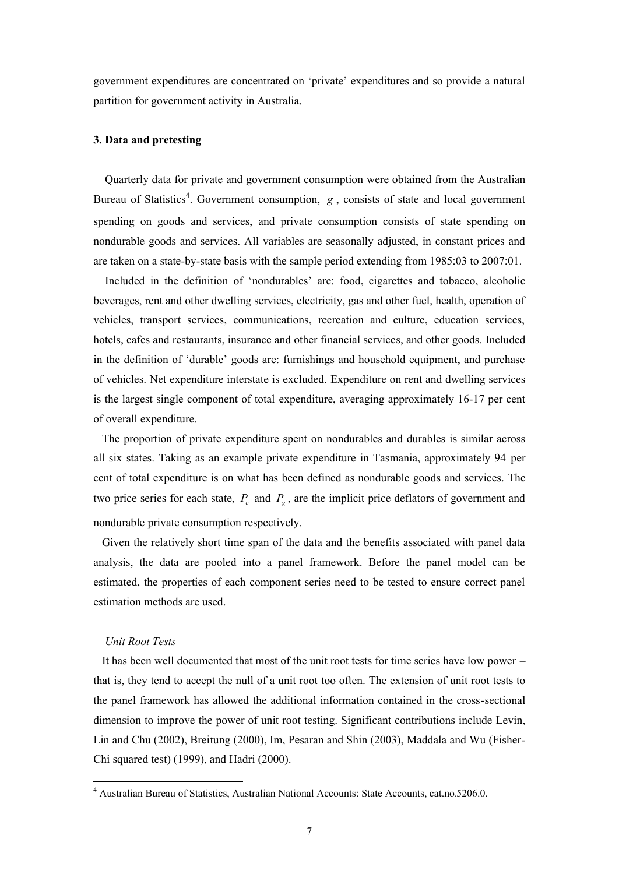government expenditures are concentrated on 'private' expenditures and so provide a natural partition for government activity in Australia.

# **3. Data and pretesting**

Quarterly data for private and government consumption were obtained from the Australian Bureau of Statistics<sup>4</sup>. Government consumption, *g*, consists of state and local government spending on goods and services, and private consumption consists of state spending on nondurable goods and services. All variables are seasonally adjusted, in constant prices and are taken on a state-by-state basis with the sample period extending from 1985:03 to 2007:01.

Included in the definition of 'nondurables' are: food, cigarettes and tobacco, alcoholic beverages, rent and other dwelling services, electricity, gas and other fuel, health, operation of vehicles, transport services, communications, recreation and culture, education services, hotels, cafes and restaurants, insurance and other financial services, and other goods. Included in the definition of 'durable' goods are: furnishings and household equipment, and purchase of vehicles. Net expenditure interstate is excluded. Expenditure on rent and dwelling services is the largest single component of total expenditure, averaging approximately 16-17 per cent of overall expenditure.

 The proportion of private expenditure spent on nondurables and durables is similar across all six states. Taking as an example private expenditure in Tasmania, approximately 94 per cent of total expenditure is on what has been defined as nondurable goods and services. The two price series for each state,  $P_c$  and  $P_g$ , are the implicit price deflators of government and nondurable private consumption respectively.

 Given the relatively short time span of the data and the benefits associated with panel data analysis, the data are pooled into a panel framework. Before the panel model can be estimated, the properties of each component series need to be tested to ensure correct panel estimation methods are used.

## *Unit Root Tests*

 $\overline{a}$ 

 It has been well documented that most of the unit root tests for time series have low power – that is, they tend to accept the null of a unit root too often. The extension of unit root tests to the panel framework has allowed the additional information contained in the cross-sectional dimension to improve the power of unit root testing. Significant contributions include Levin, Lin and Chu (2002), Breitung (2000), Im, Pesaran and Shin (2003), Maddala and Wu (Fisher-Chi squared test) (1999), and Hadri (2000).

<sup>&</sup>lt;sup>4</sup> Australian Bureau of Statistics, Australian National Accounts: State Accounts, cat.no.5206.0.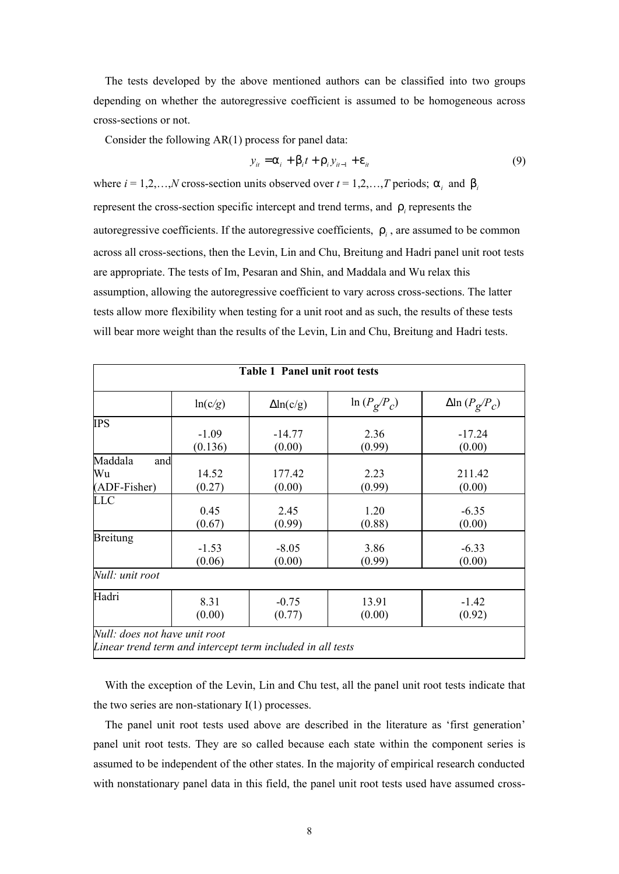The tests developed by the above mentioned authors can be classified into two groups depending on whether the autoregressive coefficient is assumed to be homogeneous across cross-sections or not.

Consider the following AR(1) process for panel data:

$$
y_{it} = a_i + b_i t + r_i y_{it-1} + e_{it}
$$
\n
$$
(9)
$$

where  $i = 1, 2, \ldots, N$  cross-section units observed over  $t = 1, 2, \ldots, T$  periods;  $a_i$  and  $b_i$ represent the cross-section specific intercept and trend terms, and *r<sup>i</sup>* represents the autoregressive coefficients. If the autoregressive coefficients, *r<sup>i</sup>* , are assumed to be common across all cross-sections, then the Levin, Lin and Chu, Breitung and Hadri panel unit root tests are appropriate. The tests of Im, Pesaran and Shin, and Maddala and Wu relax this assumption, allowing the autoregressive coefficient to vary across cross-sections. The latter tests allow more flexibility when testing for a unit root and as such, the results of these tests will bear more weight than the results of the Levin, Lin and Chu, Breitung and Hadri tests.

| <b>Table 1 Panel unit root tests</b> |         |                  |                             |                                       |  |  |
|--------------------------------------|---------|------------------|-----------------------------|---------------------------------------|--|--|
|                                      | ln(c/g) | $\Delta$ ln(c/g) | $\ln (P_{\rm g}/P_{\rm c})$ | $\Delta$ ln ( $P_{\rm g}/P_{\rm c}$ ) |  |  |
| <b>IPS</b>                           |         |                  |                             |                                       |  |  |
|                                      | $-1.09$ | $-14.77$         | 2.36                        | $-17.24$                              |  |  |
|                                      | (0.136) | (0.00)           | (0.99)                      | (0.00)                                |  |  |
| Maddala<br>and                       |         |                  |                             |                                       |  |  |
| Wu                                   | 14.52   | 177.42           | 2.23                        | 211.42                                |  |  |
| (ADF-Fisher)                         | (0.27)  | (0.00)           | (0.99)                      | (0.00)                                |  |  |
| <b>LLC</b>                           |         |                  |                             |                                       |  |  |
|                                      | 0.45    | 2.45             | 1.20                        | $-6.35$                               |  |  |
|                                      | (0.67)  | (0.99)           | (0.88)                      | (0.00)                                |  |  |
| Breitung                             |         |                  |                             |                                       |  |  |
|                                      | $-1.53$ | $-8.05$          | 3.86                        | $-6.33$                               |  |  |
|                                      | (0.06)  | (0.00)           | (0.99)                      | (0.00)                                |  |  |
| Null: unit root                      |         |                  |                             |                                       |  |  |
| Hadri                                | 8.31    | $-0.75$          | 13.91                       | $-1.42$                               |  |  |
|                                      | (0.00)  | (0.77)           | (0.00)                      | (0.92)                                |  |  |

With the exception of the Levin, Lin and Chu test, all the panel unit root tests indicate that the two series are non-stationary  $I(1)$  processes.

The panel unit root tests used above are described in the literature as 'first generation' panel unit root tests. They are so called because each state within the component series is assumed to be independent of the other states. In the majority of empirical research conducted with nonstationary panel data in this field, the panel unit root tests used have assumed cross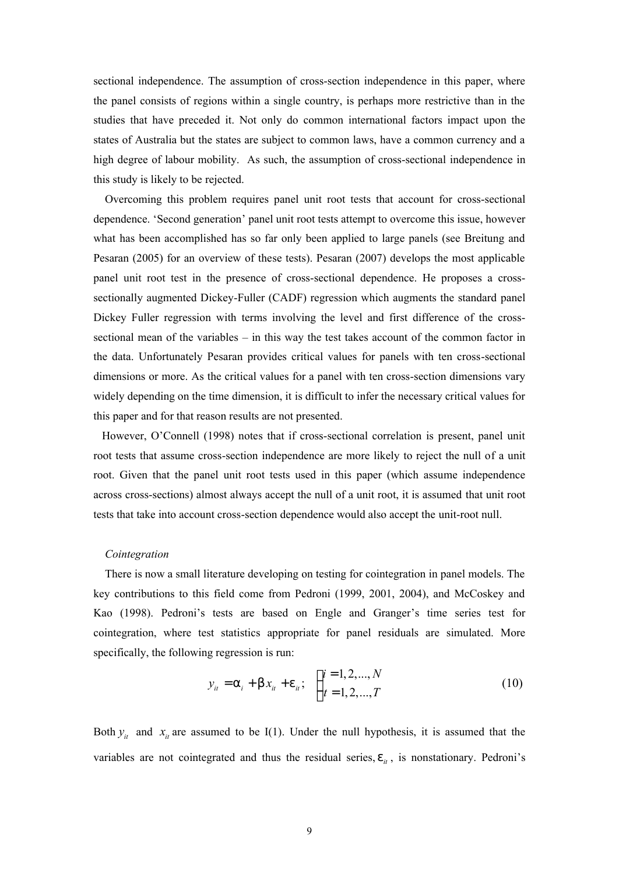sectional independence. The assumption of cross-section independence in this paper, where the panel consists of regions within a single country, is perhaps more restrictive than in the studies that have preceded it. Not only do common international factors impact upon the states of Australia but the states are subject to common laws, have a common currency and a high degree of labour mobility. As such, the assumption of cross-sectional independence in this study is likely to be rejected.

Overcoming this problem requires panel unit root tests that account for cross-sectional dependence. 'Second generation' panel unit root tests attempt to overcome this issue, however what has been accomplished has so far only been applied to large panels (see Breitung and Pesaran (2005) for an overview of these tests). Pesaran (2007) develops the most applicable panel unit root test in the presence of cross-sectional dependence. He proposes a crosssectionally augmented Dickey-Fuller (CADF) regression which augments the standard panel Dickey Fuller regression with terms involving the level and first difference of the crosssectional mean of the variables – in this way the test takes account of the common factor in the data. Unfortunately Pesaran provides critical values for panels with ten cross-sectional dimensions or more. As the critical values for a panel with ten cross-section dimensions vary widely depending on the time dimension, it is difficult to infer the necessary critical values for this paper and for that reason results are not presented.

 However, O'Connell (1998) notes that if cross-sectional correlation is present, panel unit root tests that assume cross-section independence are more likely to reject the null of a unit root. Given that the panel unit root tests used in this paper (which assume independence across cross-sections) almost always accept the null of a unit root, it is assumed that unit root tests that take into account cross-section dependence would also accept the unit-root null.

#### *Cointegration*

 There is now a small literature developing on testing for cointegration in panel models. The key contributions to this field come from Pedroni (1999, 2001, 2004), and McCoskey and Kao (1998). Pedroni's tests are based on Engle and Granger's time series test for cointegration, where test statistics appropriate for panel residuals are simulated. More specifically, the following regression is run:

$$
y_{it} = a_i + b x_{it} + e_{it}; \quad \begin{cases} i = 1, 2, ..., N \\ t = 1, 2, ..., T \end{cases}
$$
 (10)

Both  $y_i$  and  $x_i$  are assumed to be I(1). Under the null hypothesis, it is assumed that the variables are not cointegrated and thus the residual series,  $e_{it}$ , is nonstationary. Pedroni's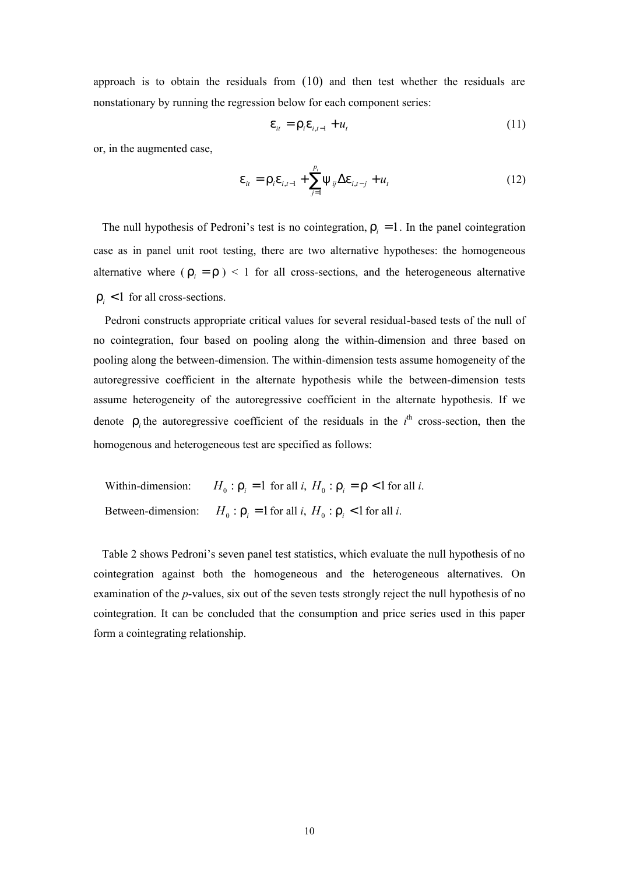approach is to obtain the residuals from  $(10)$  and then test whether the residuals are nonstationary by running the regression below for each component series:

$$
\mathbf{e}_{it} = \Gamma_i \mathbf{e}_{i, t-1} + u_t \tag{11}
$$

or, in the augmented case,

$$
e_{it} = r_i e_{i,t-1} + \sum_{j=1}^{p_i} y_{ij} \Delta e_{i,t-j} + u_t
$$
 (12)

The null hypothesis of Pedroni's test is no cointegration,  $r_i = 1$ . In the panel cointegration case as in panel unit root testing, there are two alternative hypotheses: the homogeneous alternative where  $(\Gamma_i = \Gamma)$  < 1 for all cross-sections, and the heterogeneous alternative  $r_i$  < 1 for all cross-sections.

 Pedroni constructs appropriate critical values for several residual-based tests of the null of no cointegration, four based on pooling along the within-dimension and three based on pooling along the between-dimension. The within-dimension tests assume homogeneity of the autoregressive coefficient in the alternate hypothesis while the between-dimension tests assume heterogeneity of the autoregressive coefficient in the alternate hypothesis. If we denote  $r_i$  the autoregressive coefficient of the residuals in the  $i^{\text{th}}$  cross-section, then the homogenous and heterogeneous test are specified as follows:

Within-dimension:  $H_0$ :  $\Gamma_i = 1$  for all *i*,  $H_0$ :  $\Gamma_i = \Gamma < 1$  for all *i*. Between-dimension:  $H_0: \Gamma_i = 1$  for all *i*,  $H_0: \Gamma_i < 1$  for all *i*.

 Table 2 shows Pedroni's seven panel test statistics, which evaluate the null hypothesis of no cointegration against both the homogeneous and the heterogeneous alternatives. On examination of the *p*-values, six out of the seven tests strongly reject the null hypothesis of no cointegration. It can be concluded that the consumption and price series used in this paper form a cointegrating relationship.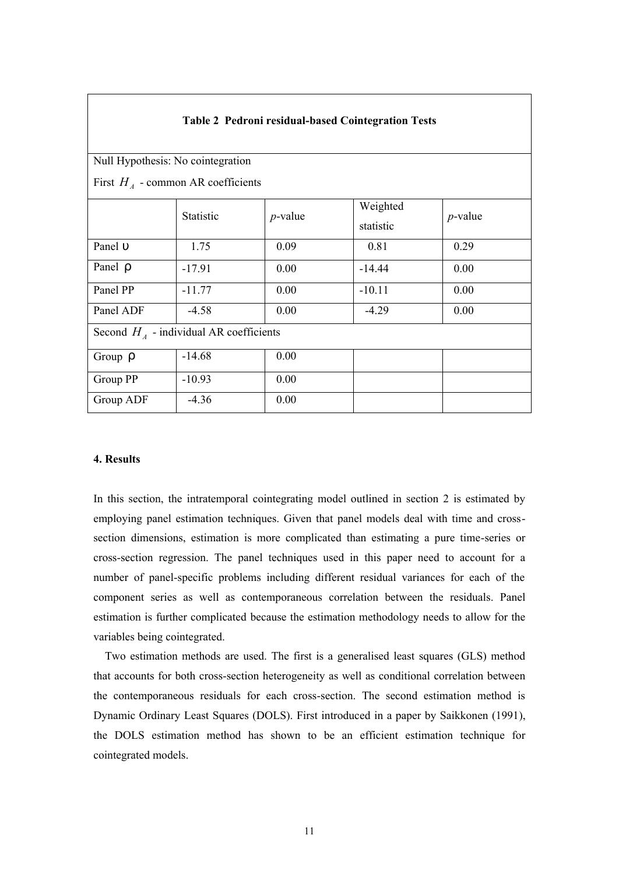| <b>Table 2 Pedroni residual-based Cointegration Tests</b>                |           |            |                       |            |  |  |  |  |
|--------------------------------------------------------------------------|-----------|------------|-----------------------|------------|--|--|--|--|
| Null Hypothesis: No cointegration<br>First $HA$ - common AR coefficients |           |            |                       |            |  |  |  |  |
|                                                                          | Statistic | $p$ -value | Weighted<br>statistic | $p$ -value |  |  |  |  |
| Panel U                                                                  | 1.75      | 0.09       | 0.81                  | 0.29       |  |  |  |  |
| Panel r                                                                  | $-17.91$  | 0.00       | $-14.44$              | 0.00       |  |  |  |  |
| Panel PP                                                                 | $-11.77$  | 0.00       | $-10.11$              | 0.00       |  |  |  |  |
| Panel ADF                                                                | $-4.58$   | 0.00       | $-4.29$               | 0.00       |  |  |  |  |
| Second $HA$ - individual AR coefficients                                 |           |            |                       |            |  |  |  |  |
| Group $\Gamma$                                                           | $-14.68$  | 0.00       |                       |            |  |  |  |  |
| Group PP                                                                 | $-10.93$  | 0.00       |                       |            |  |  |  |  |
| Group ADF                                                                | $-4.36$   | 0.00       |                       |            |  |  |  |  |

# **4. Results**

In this section, the intratemporal cointegrating model outlined in section 2 is estimated by employing panel estimation techniques. Given that panel models deal with time and crosssection dimensions, estimation is more complicated than estimating a pure time-series or cross-section regression. The panel techniques used in this paper need to account for a number of panel-specific problems including different residual variances for each of the component series as well as contemporaneous correlation between the residuals. Panel estimation is further complicated because the estimation methodology needs to allow for the variables being cointegrated.

 Two estimation methods are used. The first is a generalised least squares (GLS) method that accounts for both cross-section heterogeneity as well as conditional correlation between the contemporaneous residuals for each cross-section. The second estimation method is Dynamic Ordinary Least Squares (DOLS). First introduced in a paper by Saikkonen (1991), the DOLS estimation method has shown to be an efficient estimation technique for cointegrated models.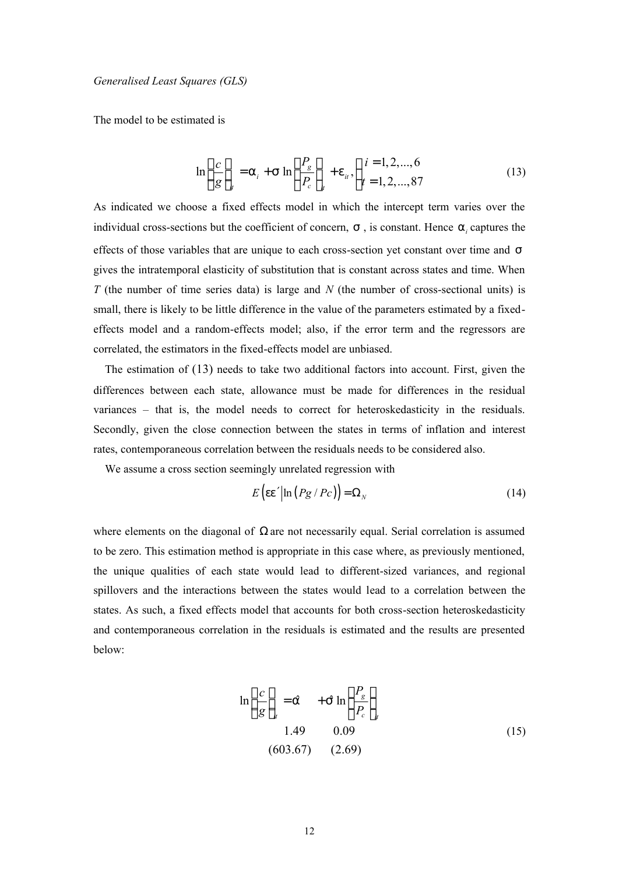*Generalised Least Squares (GLS)*

The model to be estimated is

$$
\ln\left(\frac{c}{g}\right)_{ii} = a_i + S \ln\left(\frac{P_g}{P_c}\right)_{ii} + e_{ii}, \begin{cases} i = 1, 2, ..., 6\\ t = 1, 2, ..., 87 \end{cases}
$$
(13)

As indicated we choose a fixed effects model in which the intercept term varies over the individual cross-sections but the coefficient of concern,  $S$ , is constant. Hence  $a_i$  captures the effects of those variables that are unique to each cross-section yet constant over time and *s* gives the intratemporal elasticity of substitution that is constant across states and time. When *T* (the number of time series data) is large and *N* (the number of cross-sectional units) is small, there is likely to be little difference in the value of the parameters estimated by a fixedeffects model and a random-effects model; also, if the error term and the regressors are correlated, the estimators in the fixed-effects model are unbiased.

The estimation of (13) needs to take two additional factors into account. First, given the differences between each state, allowance must be made for differences in the residual variances – that is, the model needs to correct for heteroskedasticity in the residuals. Secondly, given the close connection between the states in terms of inflation and interest rates, contemporaneous correlation between the residuals needs to be considered also.

We assume a cross section seemingly unrelated regression with

$$
E\left(\frac{\text{ee}'}{\ln\left(\frac{Pg}{Pc}\right)}\right) = \Omega_N\tag{14}
$$

where elements on the diagonal of  $\Omega$  are not necessarily equal. Serial correlation is assumed to be zero. This estimation method is appropriate in this case where, as previously mentioned, the unique qualities of each state would lead to different-sized variances, and regional spillovers and the interactions between the states would lead to a correlation between the states. As such, a fixed effects model that accounts for both cross-section heteroskedasticity and contemporaneous correlation in the residuals is estimated and the results are presented below:

$$
\ln\left(\frac{c}{g}\right)_{it} = \hat{a} + \hat{S} \ln\left(\frac{P_g}{P_c}\right)_{it}
$$
  
1.49 0.09  
(603.67) (2.69) (15)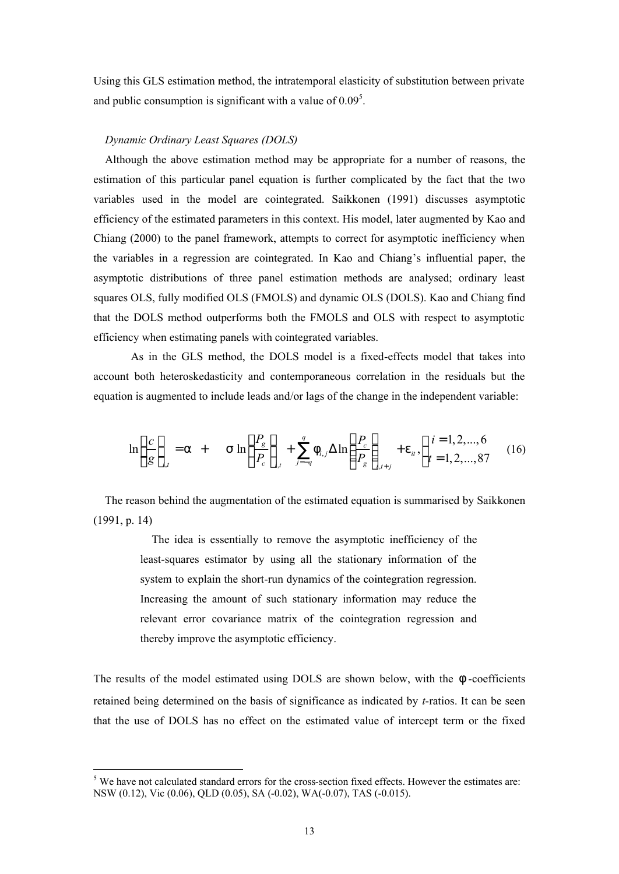Using this GLS estimation method, the intratemporal elasticity of substitution between private and public consumption is significant with a value of  $0.09<sup>5</sup>$ .

## *Dynamic Ordinary Least Squares (DOLS)*

Although the above estimation method may be appropriate for a number of reasons, the estimation of this particular panel equation is further complicated by the fact that the two variables used in the model are cointegrated. Saikkonen (1991) discusses asymptotic efficiency of the estimated parameters in this context. His model, later augmented by Kao and Chiang (2000) to the panel framework, attempts to correct for asymptotic inefficiency when the variables in a regression are cointegrated. In Kao and Chiang's influential paper, the asymptotic distributions of three panel estimation methods are analysed; ordinary least squares OLS, fully modified OLS (FMOLS) and dynamic OLS (DOLS). Kao and Chiang find that the DOLS method outperforms both the FMOLS and OLS with respect to asymptotic efficiency when estimating panels with cointegrated variables.

 As in the GLS method, the DOLS model is a fixed-effects model that takes into account both heteroskedasticity and contemporaneous correlation in the residuals but the equation is augmented to include leads and/or lags of the change in the independent variable:

$$
\ln\left(\frac{c}{g}\right)_{i,t} = a + \sin\left(\frac{P_g}{P_c}\right)_{i,t} + \sum_{j=-q}^{q} f_{i,j} \Delta \ln\left(\frac{P_c}{P_g}\right)_{i,t+j} + e_{it}, \begin{cases} i = 1, 2, ..., 6\\ t = 1, 2, ..., 87 \end{cases}
$$
 (16)

 The reason behind the augmentation of the estimated equation is summarised by Saikkonen (1991, p. 14)

> The idea is essentially to remove the asymptotic inefficiency of the least-squares estimator by using all the stationary information of the system to explain the short-run dynamics of the cointegration regression. Increasing the amount of such stationary information may reduce the relevant error covariance matrix of the cointegration regression and thereby improve the asymptotic efficiency.

The results of the model estimated using DOLS are shown below, with the *f* -coefficients retained being determined on the basis of significance as indicated by *t*-ratios. It can be seen that the use of DOLS has no effect on the estimated value of intercept term or the fixed

 $\overline{a}$ 

<sup>&</sup>lt;sup>5</sup> We have not calculated standard errors for the cross-section fixed effects. However the estimates are: NSW (0.12), Vic (0.06), QLD (0.05), SA (-0.02), WA(-0.07), TAS (-0.015).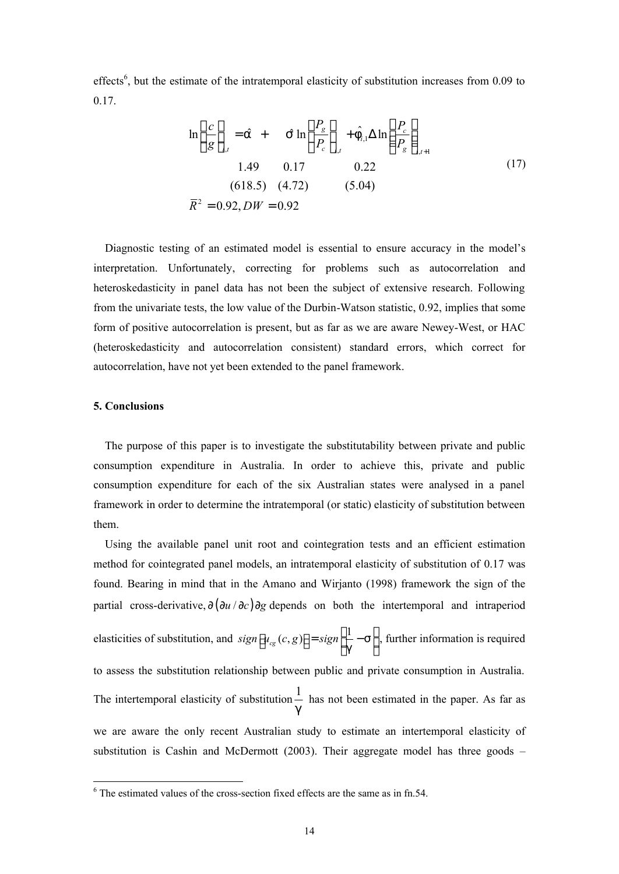effects<sup>6</sup>, but the estimate of the intratemporal elasticity of substitution increases from 0.09 to 0.17.

$$
\ln\left(\frac{c}{g}\right)_{i,t} = \hat{a} + \hat{S} \ln\left(\frac{P_g}{P_c}\right)_{i,t} + \hat{f}_{i,1} \Delta \ln\left(\frac{P_c}{P_g}\right)_{i,t+1}
$$
  
1.49 0.17 0.22  
(618.5) (4.72) (5.04)  

$$
\overline{R}^2 = 0.92, DW = 0.92
$$
 (17)

Diagnostic testing of an estimated model is essential to ensure accuracy in the model's interpretation. Unfortunately, correcting for problems such as autocorrelation and heteroskedasticity in panel data has not been the subject of extensive research. Following from the univariate tests, the low value of the Durbin-Watson statistic, 0.92, implies that some form of positive autocorrelation is present, but as far as we are aware Newey-West, or HAC (heteroskedasticity and autocorrelation consistent) standard errors, which correct for autocorrelation, have not yet been extended to the panel framework.

## **5. Conclusions**

The purpose of this paper is to investigate the substitutability between private and public consumption expenditure in Australia. In order to achieve this, private and public consumption expenditure for each of the six Australian states were analysed in a panel framework in order to determine the intratemporal (or static) elasticity of substitution between them.

Using the available panel unit root and cointegration tests and an efficient estimation method for cointegrated panel models, an intratemporal elasticity of substitution of 0.17 was found. Bearing in mind that in the Amano and Wirjanto (1998) framework the sign of the partial cross-derivative,  $\frac{\partial (\partial u / \partial c)}{\partial g}$  depends on both the intertemporal and intraperiod

elasticities of substitution, and  $sign\left[u_{cg}(c, g)\right] = sign\left[\frac{1}{a} - s\right]$ *g*  $[u_{cg}(c,g)] = sign \left[\frac{1}{g} - s\right]$ , further information is required to assess the substitution relationship between public and private consumption in Australia. The intertemporal elasticity of substitution  $\frac{1}{1}$ *g* has not been estimated in the paper. As far as we are aware the only recent Australian study to estimate an intertemporal elasticity of substitution is Cashin and McDermott (2003). Their aggregate model has three goods –

 6 The estimated values of the cross-section fixed effects are the same as in fn.54.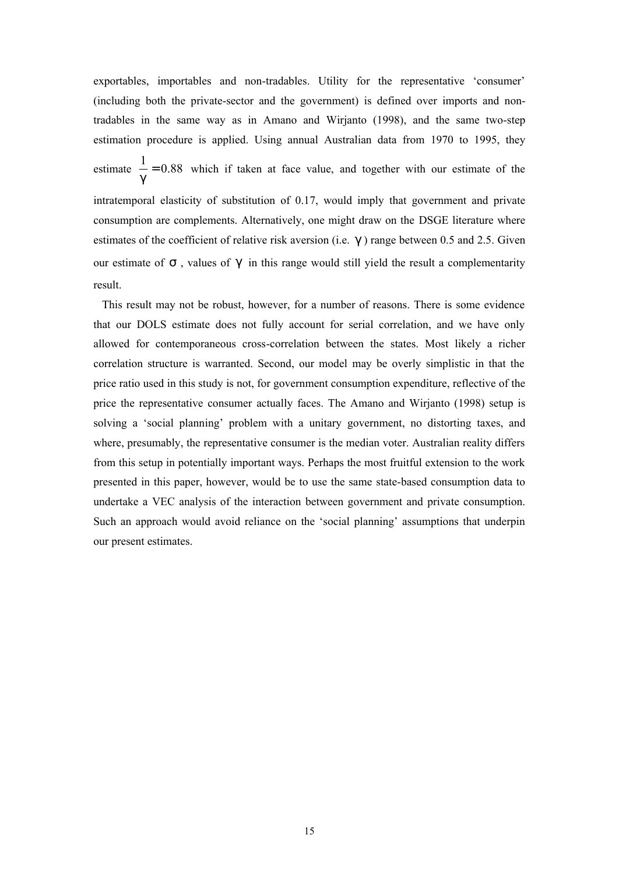exportables, importables and non-tradables. Utility for the representative 'consumer' (including both the private-sector and the government) is defined over imports and nontradables in the same way as in Amano and Wirjanto (1998), and the same two-step estimation procedure is applied. Using annual Australian data from 1970 to 1995, they estimate  $\frac{1}{0} = 0.88$ *g*  $= 0.88$  which if taken at face value, and together with our estimate of the intratemporal elasticity of substitution of 0.17, would imply that government and private consumption are complements. Alternatively, one might draw on the DSGE literature where estimates of the coefficient of relative risk aversion (i.e. *g* ) range between 0.5 and 2.5. Given our estimate of *s* , values of *g* in this range would still yield the result a complementarity result.

 This result may not be robust, however, for a number of reasons. There is some evidence that our DOLS estimate does not fully account for serial correlation, and we have only allowed for contemporaneous cross-correlation between the states. Most likely a richer correlation structure is warranted. Second, our model may be overly simplistic in that the price ratio used in this study is not, for government consumption expenditure, reflective of the price the representative consumer actually faces. The Amano and Wirjanto (1998) setup is solving a 'social planning' problem with a unitary government, no distorting taxes, and where, presumably, the representative consumer is the median voter. Australian reality differs from this setup in potentially important ways. Perhaps the most fruitful extension to the work presented in this paper, however, would be to use the same state-based consumption data to undertake a VEC analysis of the interaction between government and private consumption. Such an approach would avoid reliance on the 'social planning' assumptions that underpin our present estimates.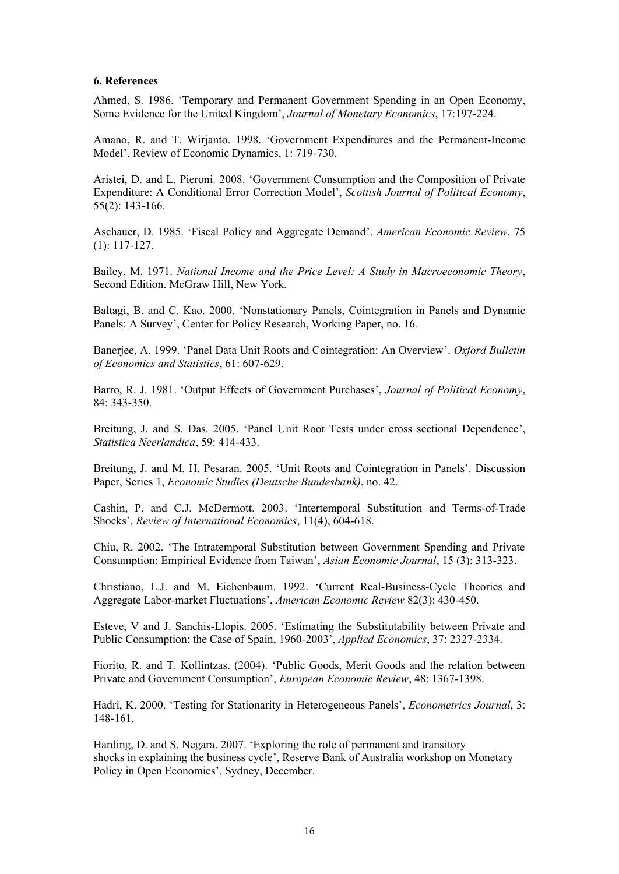## **6. References**

Ahmed, S. 1986. 'Temporary and Permanent Government Spending in an Open Economy, Some Evidence for the United Kingdom', *Journal of Monetary Economics*, 17:197-224.

Amano, R. and T. Wirjanto. 1998. 'Government Expenditures and the Permanent-Income Model'. Review of Economic Dynamics, 1: 719-730.

Aristei, D. and L. Pieroni. 2008. 'Government Consumption and the Composition of Private Expenditure: A Conditional Error Correction Model', *Scottish Journal of Political Economy*, 55(2): 143-166.

Aschauer, D. 1985. 'Fiscal Policy and Aggregate Demand'. *American Economic Review*, 75 (1): 117-127.

Bailey, M. 1971. *National Income and the Price Level: A Study in Macroeconomic Theory*, Second Edition. McGraw Hill, New York.

Baltagi, B. and C. Kao. 2000. 'Nonstationary Panels, Cointegration in Panels and Dynamic Panels: A Survey', Center for Policy Research, Working Paper, no. 16.

Banerjee, A. 1999. 'Panel Data Unit Roots and Cointegration: An Overview'. *Oxford Bulletin of Economics and Statistics*, 61: 607-629.

Barro, R. J. 1981. 'Output Effects of Government Purchases', *Journal of Political Economy*, 84: 343-350.

Breitung, J. and S. Das. 2005. 'Panel Unit Root Tests under cross sectional Dependence', *Statistica Neerlandica*, 59: 414-433.

Breitung, J. and M. H. Pesaran. 2005. 'Unit Roots and Cointegration in Panels'. Discussion Paper, Series 1, *Economic Studies (Deutsche Bundesbank)*, no. 42.

Cashin, P. and C.J. McDermott. 2003. 'Intertemporal Substitution and Terms-of-Trade Shocks', *Review of International Economics*, 11(4), 604-618.

Chiu, R. 2002. 'The Intratemporal Substitution between Government Spending and Private Consumption: Empirical Evidence from Taiwan', *Asian Economic Journal*, 15 (3): 313-323.

Christiano, L.J. and M. Eichenbaum. 1992. 'Current Real-Business-Cycle Theories and Aggregate Labor-market Fluctuations', *American Economic Review* 82(3): 430-450.

Esteve, V and J. Sanchis-Llopis. 2005. 'Estimating the Substitutability between Private and Public Consumption: the Case of Spain, 1960-2003', *Applied Economics*, 37: 2327-2334.

Fiorito, R. and T. Kollintzas. (2004). 'Public Goods, Merit Goods and the relation between Private and Government Consumption', *European Economic Review*, 48: 1367-1398.

Hadri, K. 2000. 'Testing for Stationarity in Heterogeneous Panels', *Econometrics Journal*, 3: 148-161.

Harding, D. and S. Negara. 2007. 'Exploring the role of permanent and transitory shocks in explaining the business cycle', Reserve Bank of Australia workshop on Monetary Policy in Open Economies', Sydney, December.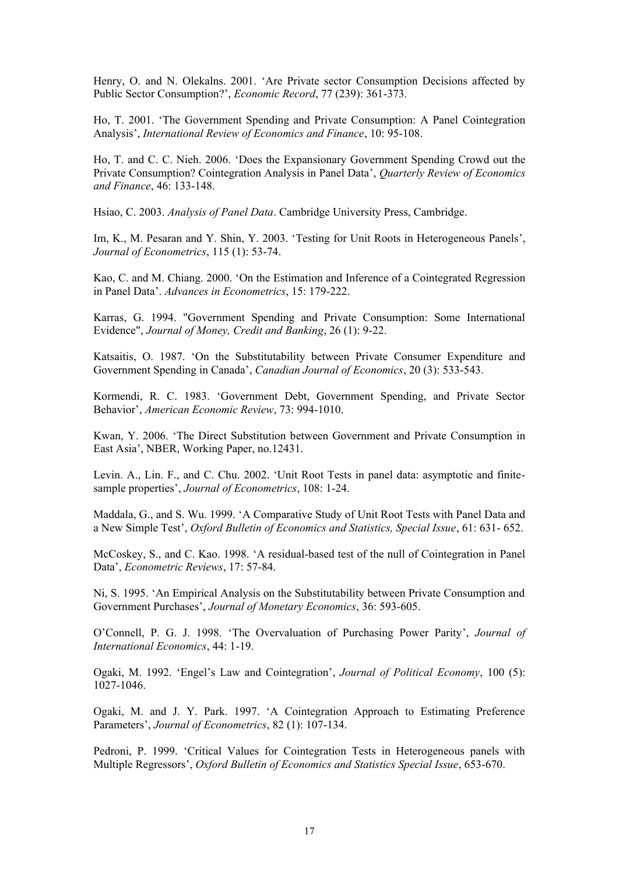Henry, O. and N. Olekalns. 2001. 'Are Private sector Consumption Decisions affected by Public Sector Consumption?', *Economic Record*, 77 (239): 361-373.

Ho, T. 2001. 'The Government Spending and Private Consumption: A Panel Cointegration Analysis', *International Review of Economics and Finance*, 10: 95-108.

Ho, T. and C. C. Nieh. 2006. 'Does the Expansionary Government Spending Crowd out the Private Consumption? Cointegration Analysis in Panel Data', *Quarterly Review of Economics and Finance*, 46: 133-148.

Hsiao, C. 2003. *Analysis of Panel Data*. Cambridge University Press, Cambridge.

Im, K., M. Pesaran and Y. Shin, Y. 2003. 'Testing for Unit Roots in Heterogeneous Panels', *Journal of Econometrics*, 115 (1): 53-74.

Kao, C. and M. Chiang. 2000. 'On the Estimation and Inference of a Cointegrated Regression in Panel Data'. *Advances in Econometrics*, 15: 179-222.

Karras, G. 1994. "Government Spending and Private Consumption: Some International Evidence", *Journal of Money, Credit and Banking*, 26 (1): 9-22.

Katsaitis, O. 1987. 'On the Substitutability between Private Consumer Expenditure and Government Spending in Canada', *Canadian Journal of Economics*, 20 (3): 533-543.

Kormendi, R. C. 1983. 'Government Debt, Government Spending, and Private Sector Behavior', *American Economic Review*, 73: 994-1010.

Kwan, Y. 2006. 'The Direct Substitution between Government and Private Consumption in East Asia', NBER, Working Paper, no.12431.

Levin. A., Lin. F., and C. Chu. 2002. 'Unit Root Tests in panel data: asymptotic and finitesample properties', *Journal of Econometrics*, 108: 1-24.

Maddala, G., and S. Wu. 1999. 'A Comparative Study of Unit Root Tests with Panel Data and a New Simple Test', *Oxford Bulletin of Economics and Statistics, Special Issue*, 61: 631- 652.

McCoskey, S., and C. Kao. 1998. 'A residual-based test of the null of Cointegration in Panel Data', *Econometric Reviews*, 17: 57-84.

Ni, S. 1995. 'An Empirical Analysis on the Substitutability between Private Consumption and Government Purchases', *Journal of Monetary Economics*, 36: 593-605.

O'Connell, P. G. J. 1998. 'The Overvaluation of Purchasing Power Parity', *Journal of International Economics*, 44: 1-19.

Ogaki, M. 1992. 'Engel's Law and Cointegration', *Journal of Political Economy*, 100 (5): 1027-1046.

Ogaki, M. and J. Y. Park. 1997. 'A Cointegration Approach to Estimating Preference Parameters', *Journal of Econometrics*, 82 (1): 107-134.

Pedroni, P. 1999. 'Critical Values for Cointegration Tests in Heterogeneous panels with Multiple Regressors', *Oxford Bulletin of Economics and Statistics Special Issue*, 653-670.